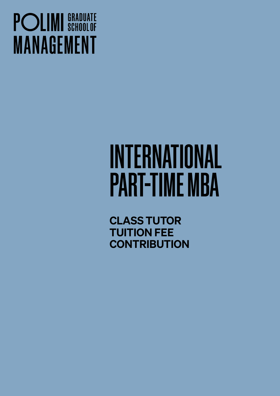## **POLIMI** SCHOOLOF **MANAGEMENT**

# INTERNATIONAL PART-TIME MBA

CLASS TUTOR TUITION FEE **CONTRIBUTION**